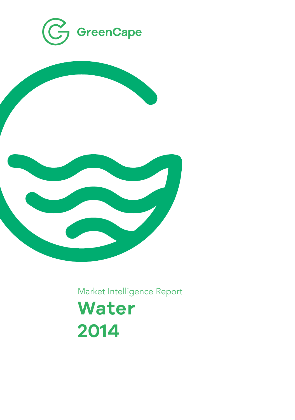



Market Intelligence Report

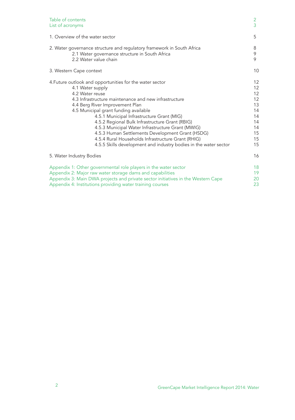| Table of contents                                                                | $\overline{2}$ |
|----------------------------------------------------------------------------------|----------------|
| List of acronyms                                                                 | $\overline{3}$ |
| 1. Overview of the water sector                                                  | 5              |
| 2. Water governance structure and regulatory framework in South Africa           | 8              |
| 2.1 Water governance structure in South Africa                                   | 9              |
| 2.2 Water value chain                                                            | 9              |
| 3. Western Cape context                                                          | 10             |
| 4. Future outlook and opportunities for the water sector                         | 12             |
| 4.1 Water supply                                                                 | 12             |
| 4.2 Water reuse                                                                  | 12             |
| 4.3 Infrastructure maintenance and new infrastructure                            | 12             |
| 4.4 Berg River Improvement Plan                                                  | 13             |
| 4.5 Municipal grant funding available                                            | 14             |
| 4.5.1 Municipal Infrastructure Grant (MIG)                                       | 14             |
| 4.5.2 Regional Bulk Infrastructure Grant (RBIG)                                  | 14             |
| 4.5.3 Municipal Water Infrastructure Grant (MWIG)                                | 14             |
| 4.5.3 Human Settlements Development Grant (HSDG)                                 | 15             |
| 4.5.4 Rural Households Infrastructure Grant (RHIG)                               | 15             |
| 4.5.5 Skills development and industry bodies in the water sector                 | 15             |
| 5. Water Industry Bodies                                                         | 16             |
| Appendix 1: Other governmental role players in the water sector                  | 18             |
| Appendix 2: Major raw water storage dams and capabilities                        | 19             |
| Appendix 3: Main DWA projects and private sector initiatives in the Western Cape | 20             |
| Appendix 4: Institutions providing water training courses                        | 23             |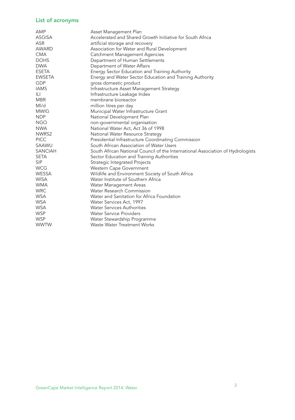## List of acronyms

| AMP            | Asset Management Plan                                                           |
|----------------|---------------------------------------------------------------------------------|
| <b>ASGISA</b>  | Accelerated and Shared Growth Initiative for South Africa                       |
| <b>ASR</b>     | artificial storage and recovery                                                 |
| <b>AWARD</b>   | Association for Water and Rural Development                                     |
| <b>CMA</b>     | Catchment Management Agencies                                                   |
| <b>DOHS</b>    | Department of Human Settlements                                                 |
| <b>DWA</b>     | Department of Water Affairs                                                     |
| <b>ESETA</b>   | Energy Sector Education and Training Authority                                  |
| <b>EWSETA</b>  | Energy and Water Sector Education and Training Authority                        |
| GDP            | gross domestic product                                                          |
| <b>IAMS</b>    | Infrastructure Asset Management Strategy                                        |
| IЦ             | Infrastructure Leakage Index                                                    |
| <b>MBR</b>     | membrane bioreactor                                                             |
| MI/d           | million litres per day                                                          |
| <b>MWIG</b>    | Municipal Water Infrastructure Grant                                            |
| <b>NDP</b>     | National Development Plan                                                       |
| <b>NGO</b>     | non-governmental organisation                                                   |
| <b>NWA</b>     | National Water Act, Act 36 of 1998                                              |
| NWRS2          | National Water Resource Strategy                                                |
| <b>PICC</b>    | Presidential Infrastructure Coordinating Commission                             |
| SAAWU          | South African Association of Water Users                                        |
| <b>SANCIAH</b> | South African National Council of the International Association of Hydrologists |
| <b>SETA</b>    | Sector Education and Training Authorities                                       |
| <b>SIP</b>     | Strategic Integrated Projects                                                   |
| <b>WCG</b>     | Western Cape Government                                                         |
| <b>WESSA</b>   | Wildlife and Environment Society of South Africa                                |
| <b>WISA</b>    | Water Institute of Southern Africa                                              |
| <b>WMA</b>     | Water Management Areas                                                          |
| <b>WRC</b>     | <b>Water Research Commission</b>                                                |
| <b>WSA</b>     | Water and Sanitation for Africa Foundation                                      |
| <b>WSA</b>     | Water Services Act, 1997                                                        |
| <b>WSA</b>     | <b>Water Services Authorities</b>                                               |
| <b>WSP</b>     | <b>Water Service Providers</b>                                                  |
| <b>WSP</b>     | Water Stewardship Programme                                                     |
| <b>WWTW</b>    | <b>Waste Water Treatment Works</b>                                              |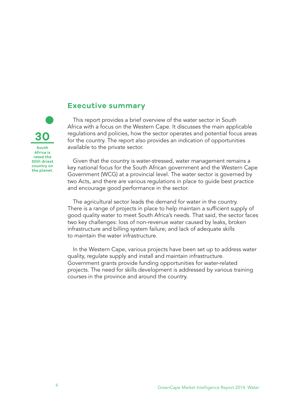

### **Executive summary**

This report provides a brief overview of the water sector in South Africa with a focus on the Western Cape. It discusses the main applicable regulations and policies, how the sector operates and potential focus areas for the country. The report also provides an indication of opportunities available to the private sector.

Given that the country is water-stressed, water management remains a key national focus for the South African government and the Western Cape Government (WCG) at a provincial level. The water sector is governed by two Acts, and there are various regulations in place to guide best practice and encourage good performance in the sector.

The agricultural sector leads the demand for water in the country. There is a range of projects in place to help maintain a sufficient supply of good quality water to meet South Africa's needs. That said, the sector faces two key challenges: loss of non-revenue water caused by leaks, broken infrastructure and billing system failure; and lack of adequate skills to maintain the water infrastructure.

In the Western Cape, various projects have been set up to address water quality, regulate supply and install and maintain infrastructure. Government grants provide funding opportunities for water-related projects. The need for skills development is addressed by various training courses in the province and around the country.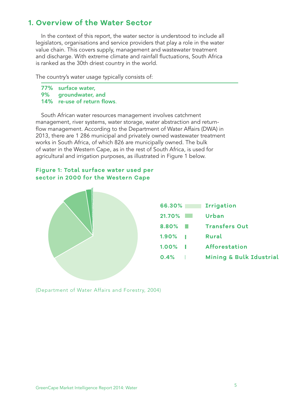# **1. Overview of the Water Sector**

In the context of this report, the water sector is understood to include all legislators, organisations and service providers that play a role in the water value chain. This covers supply, management and wastewater treatment and discharge. With extreme climate and rainfall fluctuations, South Africa is ranked as the 30th driest country in the world.

The country's water usage typically consists of:

77% surface water,<br>9% aroundwater, 9% groundwater, and 14% re-use of return flows.

South African water resources management involves catchment management, river systems, water storage, water abstraction and returnflow management. According to the Department of Water Affairs (DWA) in 2013, there are 1 286 municipal and privately owned wastewater treatment works in South Africa, of which 826 are municipally owned. The bulk of water in the Western Cape, as in the rest of South Africa, is used for agricultural and irrigation purposes, as illustrated in Figure 1 below.

### **Figure 1: Total surface water used per sector in 2000 for the Western Cape**



(Department of Water Affairs and Forestry, 2004)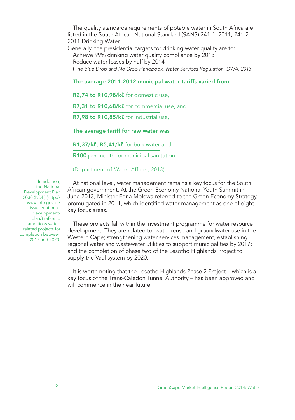The quality standards requirements of potable water in South Africa are listed in the South African National Standard (SANS) 241-1: 2011, 241-2: 2011 Drinking Water. Generally, the presidential targets for drinking water quality are to:

Achieve 99% drinking water quality compliance by 2013 Reduce water losses by half by 2014 (*The Blue Drop and No Drop Handbook, Water Services Regulation, DWA; 2013)*

#### The average 2011-2012 municipal water tariffs varied from:

R<sub>2</sub>,74 to R<sub>10</sub>,98/k<sup>ℓ</sup> for domestic use.

R7,31 to R10,68/kl for commercial use, and

R7,98 to R10,85/kl for industrial use.

The average tariff for raw water was

R1,37/kl, R5,41/kl for bulk water and

R100 per month for municipal sanitation

(Department of Water Affairs, 2013).

In addition, the National Development Plan 2030 (NDP) (http:// www.info.gov.za/ issues/nationaldevelopmentplan/) refers to ambitious waterrelated projects for completion between 2017 and 2020.

At national level, water management remains a key focus for the South African government. At the Green Economy National Youth Summit in June 2013, Minister Edna Molewa referred to the Green Economy Strategy, promulgated in 2011, which identified water management as one of eight key focus areas.

These projects fall within the investment programme for water resource development. They are related to: water-reuse and groundwater use in the Western Cape; strengthening water services management; establishing regional water and wastewater utilities to support municipalities by 2017; and the completion of phase two of the Lesotho Highlands Project to supply the Vaal system by 2020.

It is worth noting that the Lesotho Highlands Phase 2 Project – which is a key focus of the Trans-Caledon Tunnel Authority – has been approved and will commence in the near future.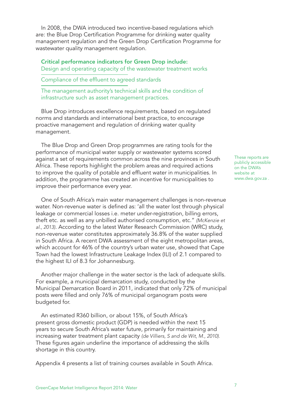In 2008, the DWA introduced two incentive-based regulations which are: the Blue Drop Certification Programme for drinking water quality management regulation and the Green Drop Certification Programme for wastewater quality management regulation.

Critical performance indicators for Green Drop include: Design and operating capacity of the wastewater treatment works

Compliance of the effluent to agreed standards

The management authority's technical skills and the condition of infrastructure such as asset management practices.

Blue Drop introduces excellence requirements, based on regulated norms and standards and international best practice, to encourage proactive management and regulation of drinking water quality management.

The Blue Drop and Green Drop programmes are rating tools for the performance of municipal water supply or wastewater systems scored against a set of requirements common across the nine provinces in South Africa. These reports highlight the problem areas and required actions to improve the quality of potable and effluent water in municipalities. In addition, the programme has created an incentive for municipalities to improve their performance every year.

One of South Africa's main water management challenges is non-revenue water. Non-revenue water is defined as: 'all the water lost through physical leakage or commercial losses i.e. meter under-registration, billing errors, theft etc. as well as any unbilled authorised consumption, etc." *(McKenzie et al., 2013)*. According to the latest Water Research Commission (WRC) study, non-revenue water constitutes approximately 36.8% of the water supplied in South Africa. A recent DWA assessment of the eight metropolitan areas, which account for 46% of the country's urban water use, showed that Cape Town had the lowest Infrastructure Leakage Index (ILI) of 2.1 compared to the highest ILI of 8.3 for Johannesburg.

Another major challenge in the water sector is the lack of adequate skills. For example, a municipal demarcation study, conducted by the Municipal Demarcation Board in 2011, indicated that only 72% of municipal posts were filled and only 76% of municipal organogram posts were budgeted for.

An estimated R360 billion, or about 15%, of South Africa's present gross domestic product (GDP) is needed within the next 15 years to secure South Africa's water future, primarily for maintaining and increasing water treatment plant capacity *(de Villiers, S and de Wit, M., 2010).*  These figures again underline the importance of addressing the skills shortage in this country.

Appendix 4 presents a list of training courses available in South Africa.

These reports are publicly accessible on the DWA's website at www.dwa.gov.za .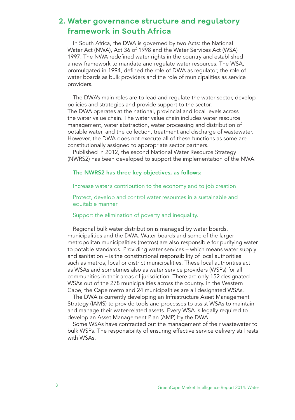# **2. Water governance structure and regulatory framework in South Africa**

In South Africa, the DWA is governed by two Acts: the National Water Act (NWA), Act 36 of 1998 and the Water Services Act (WSA) 1997. The NWA redefined water rights in the country and established a new framework to mandate and regulate water resources. The WSA, promulgated in 1994, defined the role of DWA as regulator, the role of water boards as bulk providers and the role of municipalities as service providers.

The DWA's main roles are to lead and regulate the water sector, develop policies and strategies and provide support to the sector. The DWA operates at the national, provincial and local levels across the water value chain. The water value chain includes water resource management, water abstraction, water processing and distribution of potable water, and the collection, treatment and discharge of wastewater. However, the DWA does not execute all of these functions as some are constitutionally assigned to appropriate sector partners.

Published in 2012, the second National Water Resource Strategy (NWRS2) has been developed to support the implementation of the NWA.

#### The NWRS2 has three key objectives, as follows:

Increase water's contribution to the economy and to job creation

Protect, develop and control water resources in a sustainable and equitable manner

#### Support the elimination of poverty and inequality.

Regional bulk water distribution is managed by water boards, municipalities and the DWA. Water boards and some of the larger metropolitan municipalities (metros) are also responsible for purifying water to potable standards. Providing water services – which means water supply and sanitation – is the constitutional responsibility of local authorities such as metros, local or district municipalities. These local authorities act as WSAs and sometimes also as water service providers (WSPs) for all communities in their areas of jurisdiction. There are only 152 designated WSAs out of the 278 municipalities across the country. In the Western Cape, the Cape metro and 24 municipalities are all designated WSAs.

The DWA is currently developing an Infrastructure Asset Management Strategy (IAMS) to provide tools and processes to assist WSAs to maintain and manage their water-related assets. Every WSA is legally required to develop an Asset Management Plan (AMP) by the DWA.

Some WSAs have contracted out the management of their wastewater to bulk WSPs. The responsibility of ensuring effective service delivery still rests with WSAs.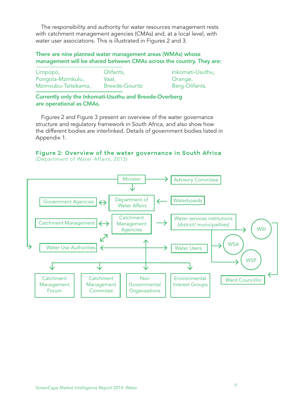The responsibility and authority for water resources management rests with catchment management agencies (CMAs) and, at a local level, with water user associations. This is illustrated in Figures 2 and 3.

#### There are nine planned water management areas (WMAs) whose management will be shared between CMAs across the country. They are:

| Limpopo,             | Olifants,             | Inkomati-Usuthu, |
|----------------------|-----------------------|------------------|
| Pongola-Mzimkulu,    | Vaal.                 | Orange,          |
| Mzimvubu-Tsitsikama. | <b>Breede-Gouritz</b> | Berg-Olifants.   |

Currently only the Inkomati-Usuthu and Breede-Overberg are operational as CMAs.

Figures 2 and Figure 3 present an overview of the water governance structure and regulatory framework in South Africa, and also show how the different bodies are interlinked. Details of government bodies listed in Appendix 1.

#### **Figure 2: Overview of the water governance in South Africa** (Department of Water Affairs, 2013)

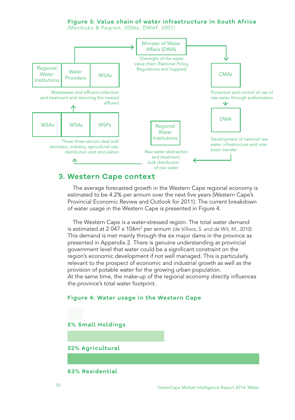#### **Figure 3: Value chain of water infrastructure in South Africa**

(Mazibuko & Pegram, 2006a; DWAF, 2001)



### **3. Western Cape context**

The average forecasted growth in the Western Cape regional economy is estimated to be 4.2% per annum over the next five years (Western Cape's Provincial Economic Review and Outlook for 2011). The current breakdown of water usage in the Western Cape is presented in Figure 4.

The Western Cape is a water-stressed region. The total water demand is estimated at 2 047 x 106m<sup>3</sup> per annum *(de Villiers, S. and de Wit, M., 2010).* This demand is met mainly through the six major dams in the province as presented in Appendix 2. There is genuine understanding at provincial government level that water could be a significant constraint on the region's economic development if not well managed. This is particularly relevant to the prospect of economic and industrial growth as well as the provision of potable water for the growing urban population. At the same time, the make-up of the regional economy directly influences the province's total water footprint.

#### **Figure 4: Water usage in the Western Cape**

#### **5% Small Holdings**

**32% Agricultural**

**63% Residential**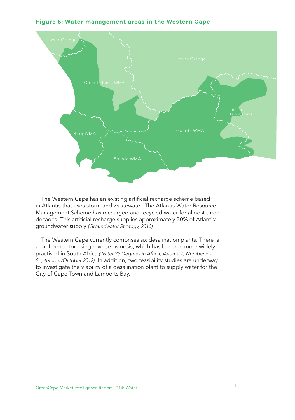



The Western Cape has an existing artificial recharge scheme based in Atlantis that uses storm and wastewater. The Atlantis Water Resource Management Scheme has recharged and recycled water for almost three decades. This artificial recharge supplies approximately 30% of Atlantis' groundwater supply *(Groundwater Strategy, 2010).*

The Western Cape currently comprises six desalination plants. There is a preference for using reverse osmosis, which has become more widely practised in South Africa *(Water 25 Degrees in Africa, Volume 7, Number 5 - September/October 2012)*. In addition, two feasibility studies are underway to investigate the viability of a desalination plant to supply water for the City of Cape Town and Lamberts Bay.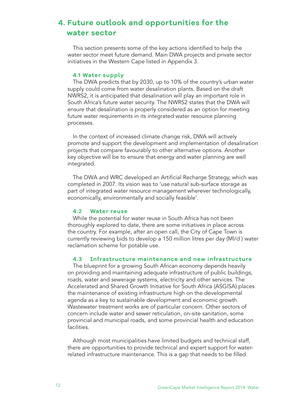# **4. Future outlook and opportunities for the water sector**

This section presents some of the key actions identified to help the water sector meet future demand. Main DWA projects and private sector initiatives in the Western Cape listed in Appendix 3.

#### **4.1 Water supply**

The DWA predicts that by 2030, up to 10% of the country's urban water supply could come from water desalination plants. Based on the draft NWRS2, it is anticipated that desalination will play an important role in South Africa's future water security. The NWRS2 states that the DWA will ensure that desalination is properly considered as an option for meeting future water requirements in its integrated water resource planning processes.

In the context of increased climate change risk, DWA will actively promote and support the development and implementation of desalination projects that compare favourably to other alternative options. Another key objective will be to ensure that energy and water planning are well integrated.

The DWA and WRC developed an Artificial Recharge Strategy, which was completed in 2007. Its vision was to 'use natural sub-surface storage as part of integrated water resource management wherever technologically, economically, environmentally and socially feasible'.

#### **4.2 Water reuse**

While the potential for water reuse in South Africa has not been thoroughly explored to date, there are some initiatives in place across the country. For example, after an open call, the City of Cape Town is currently reviewing bids to develop a 150 million litres per day (Ml/d ) water reclamation scheme for potable use.

#### **4.3 Infrastructure maintenance and new infrastructure**

The blueprint for a growing South African economy depends heavily on providing and maintaining adequate infrastructure of public buildings, roads, water and sewerage systems, electricity and other services. The Accelerated and Shared Growth Initiative for South Africa (ASGISA) places the maintenance of existing infrastructure high on the developmental agenda as a key to sustainable development and economic growth. Wastewater treatment works are of particular concern. Other sectors of concern include water and sewer reticulation, on-site sanitation, some provincial and municipal roads, and some provincial health and education facilities.

Although most municipalities have limited budgets and technical staff, there are opportunities to provide technical and expert support for waterrelated infrastructure maintenance. This is a gap that needs to be filled.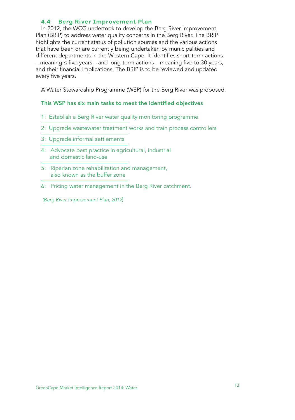### **4.4 Berg River Improvement Plan**

In 2012, the WCG undertook to develop the Berg River Improvement Plan (BRIP) to address water quality concerns in the Berg River. The BRIP highlights the current status of pollution sources and the various actions that have been or are currently being undertaken by municipalities and different departments in the Western Cape. It identifies short-term actions – meaning ≤ five years – and long-term actions – meaning five to 30 years, and their financial implications. The BRIP is to be reviewed and updated every five years.

A Water Stewardship Programme (WSP) for the Berg River was proposed.

#### This WSP has six main tasks to meet the identified objectives

- 1: Establish a Berg River water quality monitoring programme
- 2: Upgrade wastewater treatment works and train process controllers
- 3: Upgrade informal settlements
- 4: Advocate best practice in agricultural, industrial and domestic land-use
- 5: Riparian zone rehabilitation and management, also known as the buffer zone
- 6: Pricing water management in the Berg River catchment.

 *(Berg River Improvement Plan, 2012*)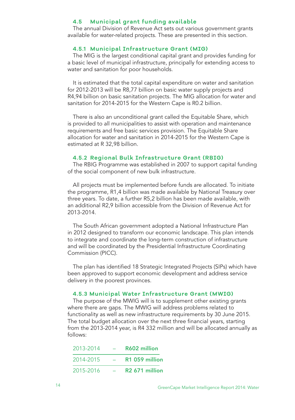#### **4.5 Municipal grant funding available**

The annual Division of Revenue Act sets out various government grants available for water-related projects. These are presented in this section.

#### **4.5.1 Municipal Infrastructure Grant (MIG)**

The MIG is the largest conditional capital grant and provides funding for a basic level of municipal infrastructure, principally for extending access to water and sanitation for poor households.

It is estimated that the total capital expenditure on water and sanitation for 2012-2013 will be R8,77 billion on basic water supply projects and R4,94 billion on basic sanitation projects. The MIG allocation for water and sanitation for 2014-2015 for the Western Cape is R0.2 billion.

There is also an unconditional grant called the Equitable Share, which is provided to all municipalities to assist with operation and maintenance requirements and free basic services provision. The Equitable Share allocation for water and sanitation in 2014-2015 for the Western Cape is estimated at R 32,98 billion.

#### **4.5.2 Regional Bulk Infrastructure Grant (RBIG)**

The RBIG Programme was established in 2007 to support capital funding of the social component of new bulk infrastructure.

All projects must be implemented before funds are allocated. To initiate the programme, R1,4 billion was made available by National Treasury over three years. To date, a further R5,2 billion has been made available, with an additional R2,9 billion accessible from the Division of Revenue Act for 2013-2014.

The South African government adopted a National Infrastructure Plan in 2012 designed to transform our economic landscape. This plan intends to integrate and coordinate the long-term construction of infrastructure and will be coordinated by the Presidential Infrastructure Coordinating Commission (PICC).

The plan has identified 18 Strategic Integrated Projects (SIPs) which have been approved to support economic development and address service delivery in the poorest provinces.

#### **4.5.3 Municipal Water Infrastructure Grant (MWIG)**

The purpose of the MWIG will is to supplement other existing grants where there are gaps. The MWIG will address problems related to functionality as well as new infrastructure requirements by 30 June 2015. The total budget allocation over the next three financial years, starting from the 2013-2014 year, is R4 332 million and will be allocated annually as follows:

| 2013-2014 | R602 million               |
|-----------|----------------------------|
| 2014-2015 | R <sub>1</sub> 059 million |
| 2015-2016 | R <sub>2</sub> 671 million |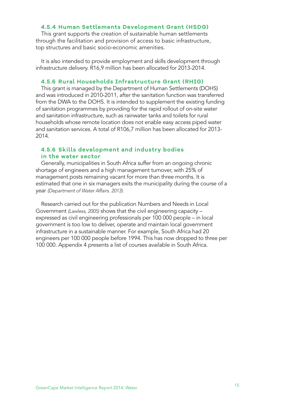#### **4.5.4 Human Settlements Development Grant (HSDG)**

This grant supports the creation of sustainable human settlements through the facilitation and provision of access to basic infrastructure, top structures and basic socio-economic amenities.

It is also intended to provide employment and skills development through infrastructure delivery. R16,9 million has been allocated for 2013-2014.

#### **4.5.6 Rural Households Infrastructure Grant (RHIG)**

This grant is managed by the Department of Human Settlements (DOHS) and was introduced in 2010-2011, after the sanitation function was transferred from the DWA to the DOHS. It is intended to supplement the existing funding of sanitation programmes by providing for the rapid rollout of on-site water and sanitation infrastructure, such as rainwater tanks and toilets for rural households whose remote location does not enable easy access piped water and sanitation services. A total of R106,7 million has been allocated for 2013- 2014.

#### **4.5.6 Skills development and industry bodies in the water sector**

Generally, municipalities in South Africa suffer from an ongoing chronic shortage of engineers and a high management turnover, with 25% of management posts remaining vacant for more than three months. It is estimated that one in six managers exits the municipality during the course of a year *(Department of Water Affairs. 2013).*

Research carried out for the publication Numbers and Needs in Local Government *(Lawless, 2005)* shows that the civil engineering capacity – expressed as civil engineering professionals per 100 000 people – in local government is too low to deliver, operate and maintain local government infrastructure in a sustainable manner. For example, South Africa had 20 engineers per 100 000 people before 1994. This has now dropped to three per 100 000. Appendix 4 presents a list of courses available in South Africa.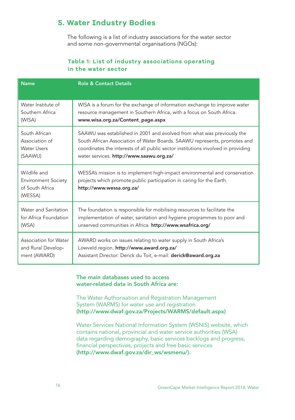# **5. Water Industry Bodies**

 The following is a list of industry associations for the water sector and some non-governmental organisations (NGOs):

### **Table 1: List of industry associations operating in the water sector**

| <b>Name</b>                                                              | <b>Role &amp; Contact Details</b>                                                                                                                                              |
|--------------------------------------------------------------------------|--------------------------------------------------------------------------------------------------------------------------------------------------------------------------------|
| Water Institute of                                                       | WISA is a forum for the exchange of information exchange to improve water                                                                                                      |
| Southern Africa                                                          | resource management in Southern Africa, with a focus on South Africa.                                                                                                          |
| (WISA)                                                                   | www.wisa.org.za/Content_page.aspx                                                                                                                                              |
| South African                                                            | SAAWU was established in 2001 and evolved from what was previously the                                                                                                         |
| Association of                                                           | South African Association of Water Boards. SAAWU represents, promotes and                                                                                                      |
| <b>Water Users</b>                                                       | coordinates the interests of all public sector institutions involved in providing                                                                                              |
| (SAAWU)                                                                  | water services. http://www.saawu.org.za/                                                                                                                                       |
| Wildlife and<br><b>Environment Society</b><br>of South Africa<br>(WESSA) | WESSA's mission is to implement high-impact environmental and conservation<br>projects which promote public participation in caring for the Earth.<br>http://www.wessa.org.za/ |
| Water and Sanitation                                                     | The foundation is responsible for mobilising resources to facilitate the                                                                                                       |
| for Africa Foundation                                                    | implementation of water, sanitation and hygiene programmes to poor and                                                                                                         |
| (WSA)                                                                    | unserved communities in Africa. http://www.wsafrica.org/                                                                                                                       |
| Association for Water                                                    | AWARD works on issues relating to water supply in South Africa's                                                                                                               |
| and Rural Develop-                                                       | Lowveld region. http://www.award.org.za/                                                                                                                                       |
| ment (AWARD)                                                             | Assistant Director: Derick du Toit, e-mail: derick@award.org.za                                                                                                                |

### The main databases used to access water-related data in South Africa are:

The Water Authorisation and Registration Management System (WARMS) for water use and registration (http://www.dwaf.gov.za/Projects/WARMS/default.aspx)

Water Services National Information System (WSNIS) website, which contains national, provincial and water service authorities (WSA) data regarding demography, basic services backlogs and progress, financial perspectives, projects and free basic services (http://www.dwaf.gov.za/dir\_ws/wsmenu/).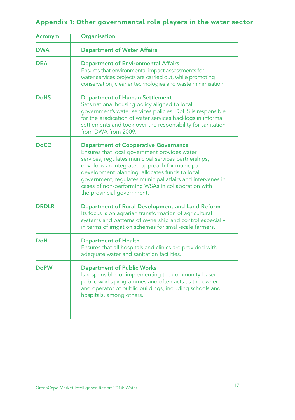# Appendix 1: Other governmental role players in the water sector

| Acronym      | Organisation                                                                                                                                                                                                                                                                                                                                                                                            |
|--------------|---------------------------------------------------------------------------------------------------------------------------------------------------------------------------------------------------------------------------------------------------------------------------------------------------------------------------------------------------------------------------------------------------------|
| <b>DWA</b>   | <b>Department of Water Affairs</b>                                                                                                                                                                                                                                                                                                                                                                      |
| <b>DEA</b>   | <b>Department of Environmental Affairs</b><br>Ensures that environmental impact assessments for<br>water services projects are carried out, while promoting<br>conservation, cleaner technologies and waste minimisation.                                                                                                                                                                               |
| <b>DoHS</b>  | <b>Department of Human Settlement</b><br>Sets national housing policy aligned to local<br>government's water services policies. DoHS is responsible<br>for the eradication of water services backlogs in informal<br>settlements and took over the responsibility for sanitation<br>from DWA from 2009.                                                                                                 |
| DoCG         | <b>Department of Cooperative Governance</b><br>Ensures that local government provides water<br>services, regulates municipal services partnerships,<br>develops an integrated approach for municipal<br>development planning, allocates funds to local<br>government, regulates municipal affairs and intervenes in<br>cases of non-performing WSAs in collaboration with<br>the provincial government. |
| <b>DRDLR</b> | Department of Rural Development and Land Reform<br>Its focus is on agrarian transformation of agricultural<br>systems and patterns of ownership and control especially<br>in terms of irrigation schemes for small-scale farmers.                                                                                                                                                                       |
| DoH          | <b>Department of Health</b><br>Ensures that all hospitals and clinics are provided with<br>adequate water and sanitation facilities.                                                                                                                                                                                                                                                                    |
| <b>DoPW</b>  | <b>Department of Public Works</b><br>Is responsible for implementing the community-based<br>public works programmes and often acts as the owner<br>and operator of public buildings, including schools and<br>hospitals, among others.                                                                                                                                                                  |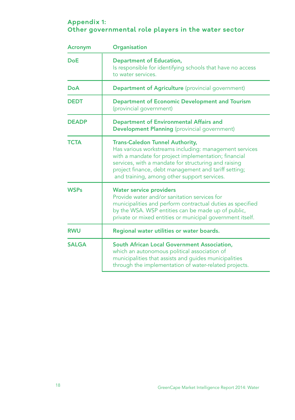## **Appendix 1: Other governmental role players in the water sector**

| <b>Acronym</b> | Organisation                                                                                                                                                                                                                                                                                                            |  |
|----------------|-------------------------------------------------------------------------------------------------------------------------------------------------------------------------------------------------------------------------------------------------------------------------------------------------------------------------|--|
| <b>DoE</b>     | <b>Department of Education,</b><br>Is responsible for identifying schools that have no access<br>to water services.                                                                                                                                                                                                     |  |
| DoA            | <b>Department of Agriculture</b> (provincial government)                                                                                                                                                                                                                                                                |  |
| <b>DEDT</b>    | <b>Department of Economic Development and Tourism</b><br>(provincial government)                                                                                                                                                                                                                                        |  |
| <b>DEADP</b>   | <b>Department of Environmental Affairs and</b><br><b>Development Planning</b> (provincial government)                                                                                                                                                                                                                   |  |
| <b>TCTA</b>    | <b>Trans-Caledon Tunnel Authority,</b><br>Has various workstreams including: management services<br>with a mandate for project implementation; financial<br>services, with a mandate for structuring and raising<br>project finance, debt management and tariff setting;<br>and training, among other support services. |  |
| <b>WSPs</b>    | <b>Water service providers</b><br>Provide water and/or sanitation services for<br>municipalities and perform contractual duties as specified<br>by the WSA. WSP entities can be made up of public,<br>private or mixed entities or municipal government itself.                                                         |  |
| <b>RWU</b>     | Regional water utilities or water boards.                                                                                                                                                                                                                                                                               |  |
| <b>SALGA</b>   | <b>South African Local Government Association,</b><br>which an autonomous political association of<br>municipalities that assists and guides municipalities<br>through the implementation of water-related projects.                                                                                                    |  |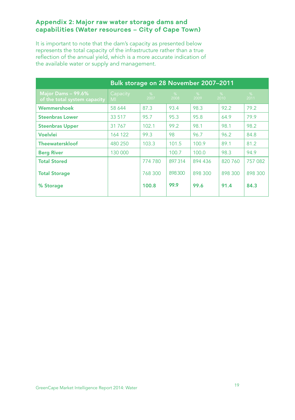### **Appendix 2: Major raw water storage dams and capabilities (Water resources – City of Cape Town)**

It is important to note that the dam's capacity as presented below represents the total capacity of the infrastructure rather than a true reflection of the annual yield, which is a more accurate indication of the available water or supply and management.

| Bulk storage on 28 November 2007-2011              |                            |           |           |           |           |           |
|----------------------------------------------------|----------------------------|-----------|-----------|-----------|-----------|-----------|
| Major Dams - 99.6%<br>of the total system capacity | Capacity<br>M <sub>l</sub> | %<br>2007 | %<br>2008 | %<br>2009 | %<br>2010 | %<br>2011 |
| Wemmershoek                                        | 58 644                     | 87.3      | 93.4      | 98.3      | 92.2      | 79.2      |
| <b>Steenbras Lower</b>                             | 33 517                     | 95.7      | 95.3      | 95.8      | 64.9      | 79.9      |
| <b>Steenbras Upper</b>                             | 31 7 6 7                   | 102.1     | 99.2      | 98.1      | 98.1      | 98.2      |
| <b>Voelvlei</b>                                    | 164 122                    | 99.3      | 98        | 96.7      | 96.2      | 84.8      |
| <b>Theewaterskloof</b>                             | 480 250                    | 103.3     | 101.5     | 100.9     | 89.1      | 81.2      |
| <b>Berg River</b>                                  | 130 000                    |           | 100.7     | 100.0     | 98.3      | 94.9      |
| <b>Total Stored</b>                                |                            | 774 780   | 897 314   | 894 436   | 820 760   | 757 082   |
| <b>Total Storage</b>                               |                            | 768 300   | 898300    | 898 300   | 898 300   | 898 300   |
| % Storage                                          |                            | 100.8     | 99.9      | 99.6      | 91.4      | 84.3      |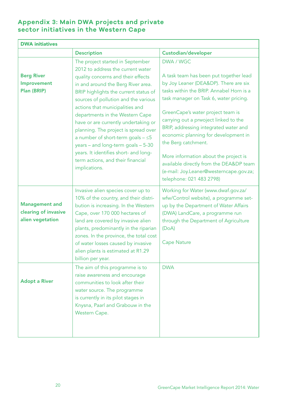## **Appendix 3: Main DWA projects and private sector initiatives in the Western Cape**

| <b>DWA initiatives</b>                                            |                                                                                                                                                                                                                                                                                                                                                                                                                                                                                                                                                                         |                                                                                                                                                                                                                                                                                                                                                                                                                                                                                                         |  |
|-------------------------------------------------------------------|-------------------------------------------------------------------------------------------------------------------------------------------------------------------------------------------------------------------------------------------------------------------------------------------------------------------------------------------------------------------------------------------------------------------------------------------------------------------------------------------------------------------------------------------------------------------------|---------------------------------------------------------------------------------------------------------------------------------------------------------------------------------------------------------------------------------------------------------------------------------------------------------------------------------------------------------------------------------------------------------------------------------------------------------------------------------------------------------|--|
|                                                                   | <b>Description</b>                                                                                                                                                                                                                                                                                                                                                                                                                                                                                                                                                      | Custodian/developer                                                                                                                                                                                                                                                                                                                                                                                                                                                                                     |  |
| <b>Berg River</b><br>Improvement<br>Plan (BRIP)                   | The project started in September<br>2012 to address the current water<br>quality concerns and their effects<br>in and around the Berg River area.<br>BRIP highlights the current status of<br>sources of pollution and the various<br>actions that municipalities and<br>departments in the Western Cape<br>have or are currently undertaking or<br>planning. The project is spread over<br>a number of short-term goals $ \leq$ 5<br>years - and long-term goals - 5-30<br>years. It identifies short- and long-<br>term actions, and their financial<br>implications. | DWA / WGC<br>A task team has been put together lead<br>by Joy Leaner (DEA&DP). There are six<br>tasks within the BRIP. Annabel Horn is a<br>task manager on Task 6, water pricing.<br>GreenCape's water project team is<br>carrying out a prwoject linked to the<br>BRIP, addressing integrated water and<br>economic planning for development in<br>the Berg catchment.<br>More information about the project is<br>available directly from the DEA&DP team<br>(e-mail: Joy.Leaner@westerncape.gov.za; |  |
|                                                                   |                                                                                                                                                                                                                                                                                                                                                                                                                                                                                                                                                                         | telephone: 021 483 2798)                                                                                                                                                                                                                                                                                                                                                                                                                                                                                |  |
| <b>Management and</b><br>clearing of invasive<br>alien vegetation | Invasive alien species cover up to<br>10% of the country, and their distri-<br>bution is increasing. In the Western<br>Cape, over 170 000 hectares of<br>land are covered by invasive alien<br>plants, predominantly in the riparian<br>zones. In the province, the total cost<br>of water losses caused by invasive<br>alien plants is estimated at R1.29<br>billion per year.                                                                                                                                                                                         | Working for Water (www.dwaf.gov.za/<br>wfw/Control website), a programme set-<br>up by the Department of Water Affairs<br>(DWA) LandCare, a programme run<br>through the Department of Agriculture<br>(DoA)<br><b>Cape Nature</b>                                                                                                                                                                                                                                                                       |  |
| <b>Adopt a River</b>                                              | The aim of this programme is to<br>raise awareness and encourage<br>communities to look after their<br>water source. The programme<br>is currently in its pilot stages in<br>Knysna, Paarl and Grabouw in the<br>Western Cape.                                                                                                                                                                                                                                                                                                                                          | <b>DWA</b>                                                                                                                                                                                                                                                                                                                                                                                                                                                                                              |  |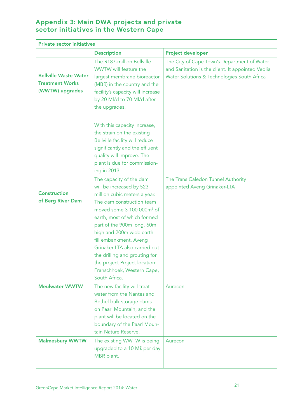## **Appendix 3: Main DWA projects and private sector initiatives in the Western Cape**

| <b>Private sector initiatives</b>                                         |                                                                                                                                                                                                                                                                                                                                                                                                                                 |                                                                                                                                                 |
|---------------------------------------------------------------------------|---------------------------------------------------------------------------------------------------------------------------------------------------------------------------------------------------------------------------------------------------------------------------------------------------------------------------------------------------------------------------------------------------------------------------------|-------------------------------------------------------------------------------------------------------------------------------------------------|
|                                                                           | <b>Description</b>                                                                                                                                                                                                                                                                                                                                                                                                              | <b>Project developer</b>                                                                                                                        |
| <b>Bellville Waste Water</b><br><b>Treatment Works</b><br>(WWTW) upgrades | The R187-million Bellville<br>WWTW will feature the<br>largest membrane bioreactor<br>(MBR) in the country and the<br>facility's capacity will increase<br>by 20 Ml/d to 70 Ml/d after<br>the upgrades.                                                                                                                                                                                                                         | The City of Cape Town's Department of Water<br>and Sanitation is the client. It appointed Veolia<br>Water Solutions & Technologies South Africa |
|                                                                           | With this capacity increase,<br>the strain on the existing<br>Bellville facility will reduce<br>significantly and the effluent<br>quality will improve. The<br>plant is due for commission-<br>ing in 2013.                                                                                                                                                                                                                     |                                                                                                                                                 |
| <b>Construction</b><br>of Berg River Dam                                  | The capacity of the dam<br>will be increased by 523<br>million cubic meters a year.<br>The dam construction team<br>moved some 3 100 000m <sup>3</sup> of<br>earth, most of which formed<br>part of the 900m long, 60m<br>high and 200m wide earth-<br>fill embankment. Aveng<br>Grinaker-LTA also carried out<br>the drilling and grouting for<br>the project Project location:<br>Franschhoek, Western Cape,<br>South Africa. | The Trans Caledon Tunnel Authority<br>appointed Aveng Grinaker-LTA                                                                              |
| <b>Meulwater WWTW</b>                                                     | The new facility will treat<br>water from the Nantes and<br>Bethel bulk storage dams<br>on Paarl Mountain, and the<br>plant will be located on the<br>boundary of the Paarl Moun-<br>tain Nature Reserve.                                                                                                                                                                                                                       | Aurecon                                                                                                                                         |
| <b>Malmesbury WWTW</b>                                                    | The existing WWTW is being<br>upgraded to a 10 Ml per day<br>MBR plant.                                                                                                                                                                                                                                                                                                                                                         | Aurecon                                                                                                                                         |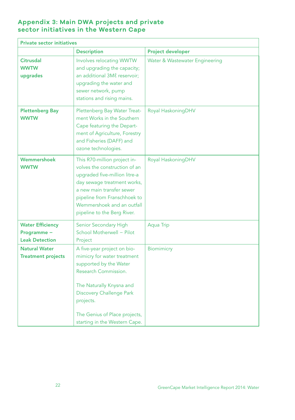## **Appendix 3: Main DWA projects and private sector initiatives in the Western Cape**

| <b>Private sector initiatives</b>                               |                                                                                                                                                                                                                                                            |                                |
|-----------------------------------------------------------------|------------------------------------------------------------------------------------------------------------------------------------------------------------------------------------------------------------------------------------------------------------|--------------------------------|
|                                                                 | <b>Description</b>                                                                                                                                                                                                                                         | <b>Project developer</b>       |
| <b>Citrusdal</b><br><b>WWTW</b><br>upgrades                     | Involves relocating WWTW<br>and upgrading the capacity;<br>an additional 3Ml reservoir;<br>upgrading the water and<br>sewer network, pump<br>stations and rising mains.                                                                                    | Water & Wastewater Engineering |
| <b>Plettenberg Bay</b><br><b>WWTW</b>                           | Plettenberg Bay Water Treat-<br>ment Works in the Southern<br>Cape featuring the Depart-<br>ment of Agriculture, Forestry<br>and Fisheries (DAFF) and<br>ozone technologies.                                                                               | Royal HaskoningDHV             |
| Wemmershoek<br><b>WWTW</b>                                      | This R70-million project in-<br>volves the construction of an<br>upgraded five-million litre-a<br>day sewage treatment works,<br>a new main transfer sewer<br>pipeline from Franschhoek to<br>Wemmershoek and an outfall<br>pipeline to the Berg River.    | Royal HaskoningDHV             |
| <b>Water Efficiency</b><br>Programme -<br><b>Leak Detection</b> | Senior Secondary High<br>School Motherwell - Pilot<br>Project                                                                                                                                                                                              | <b>Aqua Trip</b>               |
| <b>Natural Water</b><br><b>Treatment projects</b>               | A five-year project on bio-<br>mimicry for water treatment<br>supported by the Water<br>Research Commission.<br>The Naturally Knysna and<br><b>Discovery Challenge Park</b><br>projects.<br>The Genius of Place projects,<br>starting in the Western Cape. | <b>Biomimicry</b>              |